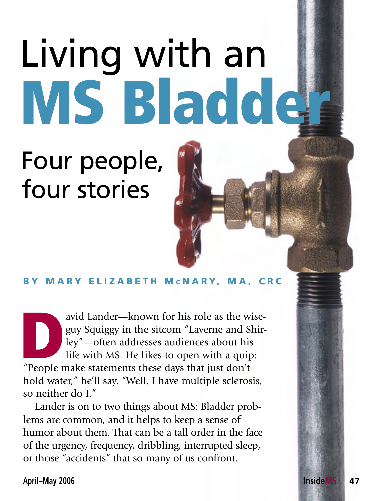## Living with an MS Bladder

## Four people, four stories

## BY MARY ELIZABETH MCNARY, MA, CRC

avid Lander—known for his role as the wise-<br>guy Squiggy in the sitcom "Laverne and Shir-<br>ley"—often addresses audiences about his<br>life with MS. He likes to open with a quip:<br>"People make statements these days that just don guy Squiggy in the sitcom "Laverne and Shirley"—often addresses audiences about his life with MS. He likes to open with a quip: hold water," he'll say. "Well, I have multiple sclerosis, so neither do I."

Lander is on to two things about MS: Bladder problems are common, and it helps to keep a sense of humor about them. That can be a tall order in the face of the urgency, frequency, dribbling, interrupted sleep, or those "accidents" that so many of us confront.

**April–May 2006 InsideMS 47**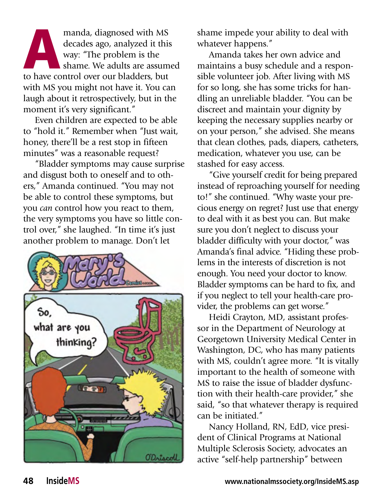manda, diagnosed with MS<br>decades ago, analyzed it this<br>way: "The problem is the<br>shame. We adults are assum<br>to have control over our bladders, but manda, diagnosed with MS decades ago, analyzed it this way: "The problem is the shame. We adults are assumed with MS you might not have it. You can laugh about it retrospectively, but in the moment it's very significant."

Even children are expected to be able to "hold it." Remember when "Just wait, honey, there'll be a rest stop in fifteen minutes" was a reasonable request?

"Bladder symptoms may cause surprise and disgust both to oneself and to others," Amanda continued. "You may not be able to control these symptoms, but you *can* control how you react to them, the very symptoms you have so little control over," she laughed. "In time it's just another problem to manage. Don't let



shame impede your ability to deal with whatever happens."

Amanda takes her own advice and maintains a busy schedule and a responsible volunteer job. After living with MS for so long, she has some tricks for handling an unreliable bladder. "You can be discreet and maintain your dignity by keeping the necessary supplies nearby or on your person," she advised. She means that clean clothes, pads, diapers, catheters, medication, whatever you use, can be stashed for easy access.

"Give yourself credit for being prepared instead of reproaching yourself for needing to!" she continued. "Why waste your precious energy on regret? Just use that energy to deal with it as best you can. But make sure you don't neglect to discuss your bladder difficulty with your doctor," was Amanda's final advice. "Hiding these problems in the interests of discretion is not enough. You need your doctor to know. Bladder symptoms can be hard to fix, and if you neglect to tell your health-care provider, the problems can get worse."

Heidi Crayton, MD, assistant professor in the Department of Neurology at Georgetown University Medical Center in Washington, DC, who has many patients with MS, couldn't agree more. "It is vitally important to the health of someone with MS to raise the issue of bladder dysfunction with their health-care provider," she said, "so that whatever therapy is required can be initiated."

Nancy Holland, RN, EdD, vice president of Clinical Programs at National Multiple Sclerosis Society, advocates an active "self-help partnership" between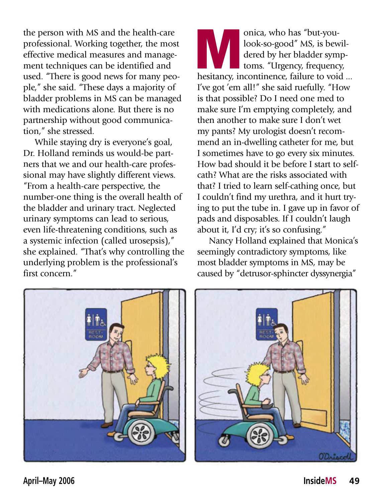the person with MS and the health-care professional. Working together, the most effective medical measures and management techniques can be identified and used. "There is good news for many people," she said. "These days a majority of bladder problems in MS can be managed with medications alone. But there is no partnership without good communication," she stressed.

While staying dry is everyone's goal, Dr. Holland reminds us would-be partners that we and our health-care professional may have slightly different views. "From a health-care perspective, the number-one thing is the overall health of the bladder and urinary tract. Neglected urinary symptoms can lead to serious, even life-threatening conditions, such as a systemic infection (called urosepsis)," she explained. "That's why controlling the underlying problem is the professional's first concern."

onica, who has "but-you-<br>look-so-good" MS, is bewil-<br>dered by her bladder symp-<br>toms. "Urgency, frequency,<br>hesitancy, incontinence, failure to void ... look-so-good" MS, is bewildered by her bladder symptoms. "Urgency, frequency, I've got 'em all!" she said ruefully. "How is that possible? Do I need one med to make sure I'm emptying completely, and then another to make sure I don't wet my pants? My urologist doesn't recommend an in-dwelling catheter for me, but I sometimes have to go every six minutes. How bad should it be before I start to selfcath? What are the risks associated with that? I tried to learn self-cathing once, but I couldn't find my urethra, and it hurt trying to put the tube in. I gave up in favor of pads and disposables. If I couldn't laugh about it, I'd cry; it's so confusing."

Nancy Holland explained that Monica's seemingly contradictory symptoms, like most bladder symptoms in MS, may be caused by "detrusor-sphincter dyssynergia"



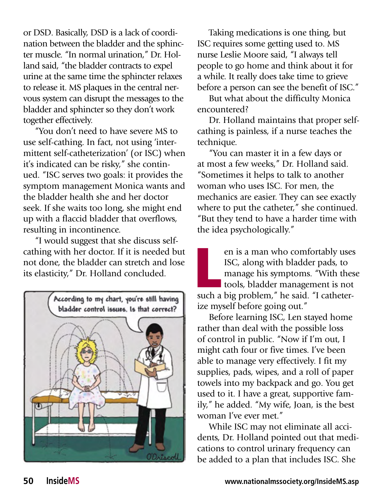or DSD. Basically, DSD is a lack of coordination between the bladder and the sphincter muscle. "In normal urination," Dr. Holland said, "the bladder contracts to expel urine at the same time the sphincter relaxes to release it. MS plaques in the central nervous system can disrupt the messages to the bladder and sphincter so they don't work together effectively.

"You don't need to have severe MS to use self-cathing. In fact, not using 'intermittent self-catheterization' (or ISC) when it's indicated can be risky," she continued. "ISC serves two goals: it provides the symptom management Monica wants and the bladder health she and her doctor seek. If she waits too long, she might end up with a flaccid bladder that overflows, resulting in incontinence.

"I would suggest that she discuss selfcathing with her doctor. If it is needed but not done, the bladder can stretch and lose its elasticity," Dr. Holland concluded.



Taking medications is one thing, but ISC requires some getting used to. MS nurse Leslie Moore said, "I always tell people to go home and think about it for a while. It really does take time to grieve before a person can see the benefit of ISC."

But what about the difficulty Monica encountered?

Dr. Holland maintains that proper selfcathing is painless, if a nurse teaches the technique.

"You can master it in a few days or at most a few weeks," Dr. Holland said. "Sometimes it helps to talk to another woman who uses ISC. For men, the mechanics are easier. They can see exactly where to put the catheter," she continued. "But they tend to have a harder time with the idea psychologically."

en is a man who comfortably uses<br>ISC, along with bladder pads, to<br>manage his symptoms. "With thes<br>tools, bladder management is not<br>such a big problem," he said. "I catheteren is a man who comfortably uses ISC, along with bladder pads, to manage his symptoms. "With these tools, bladder management is not ize myself before going out."

Before learning ISC, Len stayed home rather than deal with the possible loss of control in public. "Now if I'm out, I might cath four or five times. I've been able to manage very effectively. I fit my supplies, pads, wipes, and a roll of paper towels into my backpack and go. You get used to it. I have a great, supportive family," he added. "My wife, Joan, is the best woman I've ever met."

While ISC may not eliminate all accidents, Dr. Holland pointed out that medications to control urinary frequency can be added to a plan that includes ISC. She